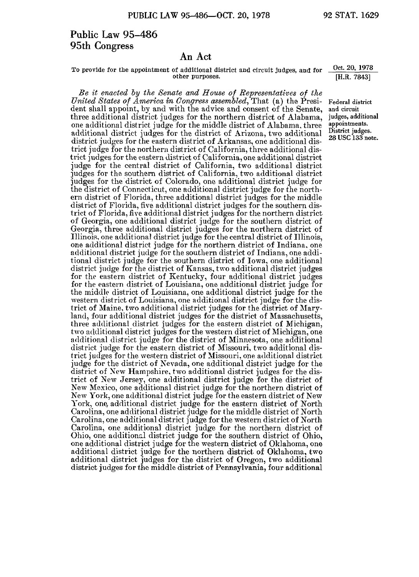# **Public Law 95-486 95th Congress**

## **An Act**

To provide for the appointment of additional district and circuit judges, and for  $\frac{Oct. 20, 1978}{[H.R. 7843]}$ other purposes.

*Be it enacted by the Senate and House of Representatives of the United States of America in Congress assembled,* That (a) the President shall appoint, by and with the advice and consent of the Senate, three additional district, judges for the northern district of Alabama, one additional district judge for the middle district of Alabama, three additional district judges for the district of Arizona, two additional district judges for the eastern district of Arkansas, one additional district judge for the northern district of California, three additional district judges for the eastern district of California, one additional district judge for the central district of California, two additional district judges for the southern district of California, two additional district judges for the district of Colorado, one additional district judge for the district of Connecticut, one additional district judge for the northern district of Florida, three additional district judges for the middle district of Florida, five additional district judges for the southern district of Florida, five additional district judges for the northern district of Georgia, one additional district judge for the southern district of Georgia, three additional district judges for the northern district of Illinois, one additional district judge for the central district of Illinois, one additional district judge for the northern district of Indiana, one additional district judge for the southern district of Indiana, one additional district judge for the southern district of Iowa, one additional district judge for the district of Kansas, two additional district judges district judge for the district of Kansas, two additional district judges for the eastern district of Kentucky, four additional district judges for the eastern district of Louisiana, one additional district judge for the middle district of Louisiana, one additional district judge for the western district of Louisiana, one additional district judge for the district of Maine, two additional district judges for the district of Mary- land, four additional district judges for the district of Massachusetts, three additional district judges for the eastern district of Michigan, two additional district judges for the western district of Michigan, one additional district judge for the district of Minnesota, one additional district judge for the eastern district of Missouri, two additional district judges for the western district of Missouri, one additional district judge for the district of Nevada, one additional district judge for the district of New Hampshire, two additional district judges for the district of New Jersey, one additional district judge for the district of New Mexico, one additional district judge for the northern district of New York, one additional district judge for the eastern district of New York, one, additional district judge for the eastern district of North Carolina, one additional district judge for the middle district of North Carolina, one additional district judge for the western district of North Carolina, one additional district judge for the northern district of Ohio, one additional district judge for the southern district of Ohio, one additional district judge for the western district of Oklahoma, one additional district judge for the northern district of Oklahoma, two additional district judges for the district of Oregon, two additional district judges for the middle district of Pennsylvania, four additional

Federal district and circuit judges, additional appointments. District judges. **28** USC 133 **note.**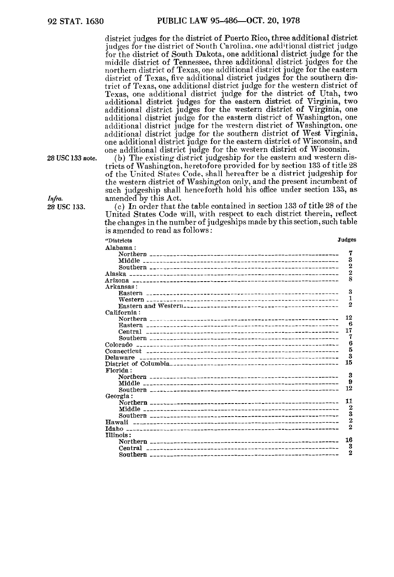district judges for the district of Puerto Rico, three additional district judges for the district of South Carolina, one additional district judge for the district of South Dakota, one additional district judge for the middle district of Tennessee, three additional district judges for the northern district of Texas, one additional district judge for the eastern district of Texas, five additional district judges for the southern district of Texas, one additional district judge for the western district of Texas, one additional district judge for the district of Utah, two additional district judges for the eastern district of Virginia, two additional district judges for the western district of Virginia, one additional district judge for the eastern district of Washington, one additional district judge for the western district of Washington, one additional district judge for the southern district of West Virginia, one additional district judge for the eastern district, of Wisconsin, and one additional district judge for the western district of Wisconsin.

28 **USc** 133 note. (b) The existing district judgeship for the eastern and western districts of Washington, heretofore provided for by section 133 of title 28 of the United States Code, shall hereafter be a district judgeship for the western district of Washington only, and the present incumbent of such judgeship shall henceforth hold his office under section 133, as *Infra.* **amended** by this Act.

28 **USc** 133. (c) In order that the table contained in section 133 of title 28 of the United States Code will, with respect to each district therein, reflect the changes in the number of judgeships made by this section, such table is amended to read as follows:

| "Districts  | Judges         |
|-------------|----------------|
| Alabama:    |                |
|             | 7              |
| Middle      | 3              |
|             | $\overline{2}$ |
| Alaska      | $\overline{2}$ |
| Arizona     | 8              |
| Arkansas:   |                |
| Eastern     | 3              |
|             | 1              |
|             | $\overline{2}$ |
| California: |                |
|             | 12             |
| Eastern     | 6              |
| Central     | 17             |
|             | 7              |
| Colorado    | 6              |
|             | 5              |
| Delaware    | 3              |
|             | 15             |
| Florida:    |                |
|             | 3              |
| Middle      | 9              |
|             | 12             |
| Georgia:    |                |
|             | 11             |
|             | $\bf{2}$       |
|             | $\bar{3}$      |
| Hawaii      | $\overline{2}$ |
| Idaho       | $\overline{2}$ |
| Illinois:   |                |
|             | 16             |
| Central     | 3              |
|             | 2              |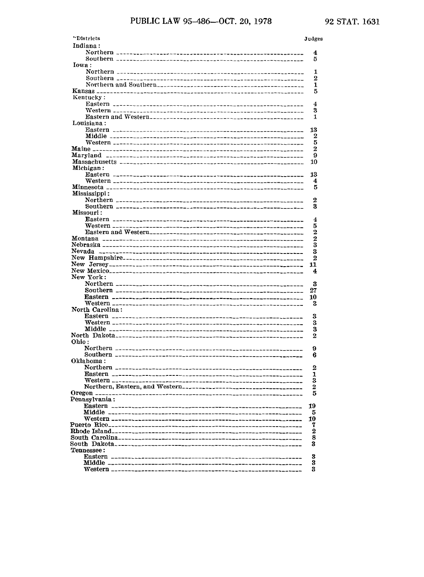| "Districts      | Judges         |
|-----------------|----------------|
| Indiana:        |                |
|                 | 4              |
| lowa:           | 5              |
|                 | 1              |
|                 | 2              |
|                 | 1              |
|                 | 5              |
| Kentucky:       |                |
|                 | 4              |
|                 | 3              |
| Louisiana:      | 1              |
|                 | 13             |
|                 | 2              |
|                 | 5              |
|                 | $\overline{2}$ |
|                 | 9              |
|                 | 10             |
| Michigan:       |                |
|                 | 13<br>4        |
|                 | 5              |
| Mississippi :   |                |
|                 | 2              |
|                 | 3              |
| Missouri:       |                |
|                 | 4              |
|                 | 5              |
|                 | 2              |
|                 | 2<br>3         |
|                 | 3              |
|                 | $\overline{2}$ |
|                 | 11             |
|                 | 4              |
| New York:       |                |
|                 | 3              |
|                 | 27             |
|                 | 10             |
|                 | 3              |
| North Carolina: | 3              |
|                 | 3              |
|                 | 3              |
|                 | 2              |
| Ohio :          |                |
|                 | 9              |
|                 | 6              |
| Oklahoma :      |                |
|                 | 2<br>1         |
|                 | 3              |
|                 | 2              |
|                 | 5              |
| Pennsylvania:   |                |
|                 | 19             |
|                 | 5              |
|                 | 10             |
|                 | 7<br>2         |
|                 | 8              |
|                 | 3              |
| Tennessee:      |                |
|                 | 3              |
|                 | 3              |
|                 | 3              |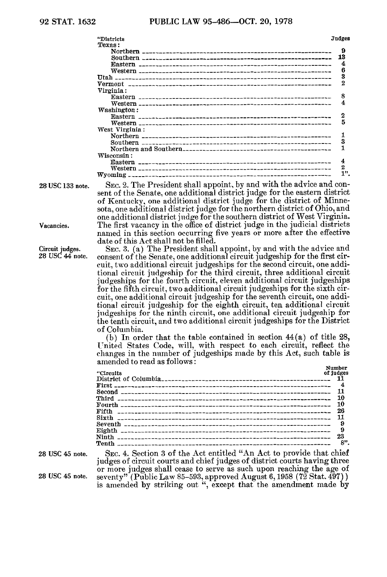| "Districts     | Judges         |
|----------------|----------------|
| Texas:         |                |
|                | 9              |
|                | 13             |
| Eastern        | 4              |
|                | 6              |
| <b>Titah</b>   | 3              |
|                | $\overline{2}$ |
| Virginia :     |                |
|                | 8              |
|                | 4              |
| Washington :   |                |
|                | 2              |
|                | 5              |
| West Virginia: |                |
|                |                |
|                | 3              |
|                |                |
| Wisconsin:     |                |
|                | 4              |
|                | $\overline{2}$ |
|                | יי ד           |
|                |                |

28 USC 133 note.

Vacancies.

Circuit judges. 28 **USC** 44 note.

SEc. 2. The President shall appoint, **by** and with the advice and consent of the Senate, one additional district judge for the eastern district of Kentucky, one additional district judge for the district of Minnesota, one additional district judge for the northern district of Ohio, and one additional district judge for the southern district of West Virginia. The first vacancy in the office of district judge in the judicial districts named in this section occurring five years or more after the effective date of this Act shall not be filled.

SEC. 3. (a) The President shall appoint, by and with the advice and consent of the Senate, one additional circuit judgeship for the first circuit, two additional circuit judgeships for the second circuit, one additional circuit judgeship for the third circuit, three additional circuit judgeships for the fourth circuit, eleven additional circuit judgeships for the fifth circuit, two additional circuit judgeships for the sixth circuit, one additional circuit judgeship for the seventh circuit, one additional circuit judgeship for the eighth circuit, ten additional circuit judgeships for the ninth circuit, one additional circuit judgeship for the tenth circuit, and two additional circuit judgeships for the District of Columbia.

(b) In order that the table contained in section 44(a) of title **28,** United States Code, will, with respect to each circuit, reflect the changes in the number of judgeships made by this Act, such table is amended to read as follows:

|          | "Circuits                                                                                                                                                                   | of judges |
|----------|-----------------------------------------------------------------------------------------------------------------------------------------------------------------------------|-----------|
|          |                                                                                                                                                                             |           |
|          |                                                                                                                                                                             | 4         |
|          |                                                                                                                                                                             | 11        |
|          |                                                                                                                                                                             | 10        |
|          |                                                                                                                                                                             | 10        |
|          |                                                                                                                                                                             | 26        |
|          |                                                                                                                                                                             | -11       |
|          |                                                                                                                                                                             | -9        |
|          |                                                                                                                                                                             | - 9       |
|          |                                                                                                                                                                             | 23        |
|          |                                                                                                                                                                             | $R$ ".    |
| 45 note. | SEC. 4. Section 3 of the Act entitled "An Act to provide that chief<br>the discussed attenuate complete and selected and additional distinct a contract the second property |           |

**28 USC** 45 note.

**28 USC** 

judges of circuit courts and chief judges of district courts having three or more judges shall cease to serve as such upon reaching the age of seventy" (Public Law **85-593,** approved August **6, 1958 (72** Stat. 497) **)** is amended **by** striking out **",** except that the amendment made **by**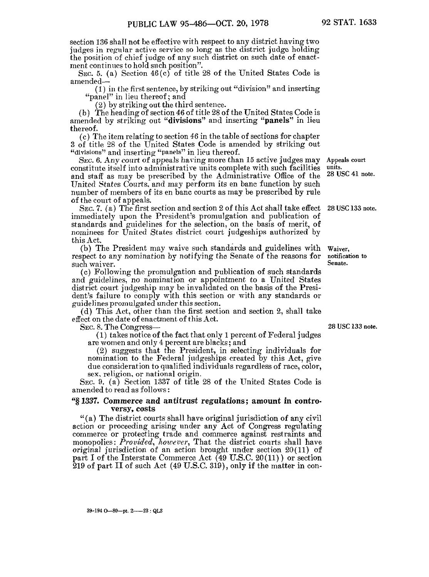section 136 shall not be effective with respect to any district having two judges in regular active service so long as the district judge holding the position of chief judge of any such district on such date of enactment continues to hold such position".

SEC. 5. (a) Section  $46(c)$  of title 28 of the United States Code is amended-

(1) in the first sentence, by striking out "division" and inserting "panel" in lieu thereof; and

(2) by striking out the third sentence.

The heading of section 46 of title 28 of the United States Code is amended by striking out "divisions" and inserting "panels" in lieu thereof.

(c) The item relating to section 46 in the table of sections for chapter 3 of title **28** of the United States Code is amended by striking out "divisions" and inserting "panels" in lieu thereof.

*SEc.* 6. Any court of appeals having more than 15 active judges may constitute itself into administrative units complete with such facilities and staff as may be prescribed by the Administrative Office of the United States Courts, and may perform its en banc function by such number of members of its en bane courts as may be prescribed by rule of the court of appeals.

SEC. 7. (a) The first section and section 2 of this Act shall take effect **28 USC 133 note.** immediately upon the President's promulgation and publication of standards and guidelines for the selection, on the basis of merit, of nominees for United States district court judgeships authorized by this Act.

(b) The President may waive such standards and guidelines with respect to any nomination by notifying the Senate of the reasons for such waiver.

(c) Following the promulgation and publication of such standards and guidelines, no nomination or appointment to a United States district court judgeship may be invalidated on the basis of the President's failure to comply with this section or with any standards or guidelines promulgated under this section.

(d) This Act, other than the first section and section 2, shall take effect on the date of enactment of this Act.

**SEc.** 8. The Congress-

(1) takes notice of the fact that only **1** percent of Federal judges are women and only 4 percent are blacks; and

(2) suggests that the President, in selecting individuals for nomination to the Federal judgeships created by this Act, give due consideration to qualified individuals regardless of race, color, sex, religion, or national origin.

SEc. 9. (a) Section 1337 of title 28 of the United States Code is amended to read as follows:

### *"§* **1337. Commerce** and antitrust regulations; amount in contro. versy, costs

"(a) The district courts shall have original jurisdiction of any civil action or proceeding arising under any Act of Congress regulating commerce or protecting trade and commerce against restraints and monopolies: *Provided,* however, That the district courts shall have original jurisdiction of an action brought under section 20(11) of part I of the Interstate Commerce Act  $(49 \text{ U.S.C. } 20(11))$  or section 219 of part II of such Act (49 U.S.C. 319), only if the matter in con-

Waiver, notification **to** Senate.

28 **USC 133 note.**

**Appeals** court units. **28 USC** 41 **note.**

**92 STAT. 1633**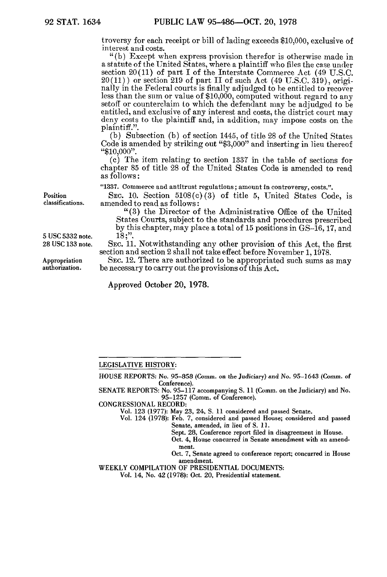troversy for each receipt or bill of lading exceeds \$10,000, exclusive of interest and costs.

"(b) Except when express provision therefor is otherwise made in a statute of the United States, where a plaintiff who files the case under section 20(11) of part I of the Interstate Commerce Act (49 U.S.C. 20(11) ) or section 219 of part II of such Act (49 U.S.C. 319), origi- nally in the Federal courts is finally adjudged to be entitled to recover less than the sum or value of \$10,000, computed without regard to any setoff or counterclaim to which the defendant may be adjudged to be entitled, and exclusive of any interest and costs, the district court may deny costs to the plaintiff and, in addition, may impose costs on the plaintiff.".

(b) Subsection (b) of section 1445, of title 28 of the United States Code is amended by striking out "\$3,000" and inserting in lieu thereof "\$10,000".

(c) The item relating to section **1337** in the table of sections for chapter 85 of title 28 of the United States Code is amended to read as follows:

"1837. Commerce and antitrust regulations; amount in controversy, costs.".

Position SEC. 10. Section  $5108(c)$  (3) of title 5, United States Code, is classifications. amended to read as follows: amended to read as follows:

"(3) the Director of the Administrative Office of the United States Courts, subject to the standards and procedures prescribed<br>by this chapter, may place a total of 15 positions in GS-16, 17, and<br>18;".

28 **USC 133** note. SEC. 11. Notwithstanding any other provision of this Act, the first section and section 2 shall not take effect before November 1, 1978.

Appropriation SEC. 12. There are authorized to be appropriated such sums as may authorization. be necessary to carry out the provisions of this Act. be necessary to carry out the provisions of this Act.

Approved October 20, 1978.

**HOUSE** REPORTS: No. **95-858** (Comm. on the Judiciary) and No. 95-1643 (Comm. of Conference).

SENATE REPORTS: No. 95-117 accompanying **S.** 11 (Comm. on the Judiciary) and No. **95-1257** (Comm. of Conference).

CONGRESSIONAL RECORD:

Vol. **123 (1977):** May **23, 24, S. 11** considered and passed Senate.

Vol. 124 (1978): Feb. 7, considered and passed House; considered and passed Senate, amended, in lieu of **S.** 11.

Sept. **28,** Conference report filed in disagreement in House.

Oct. 4, House concurred in Senate amendment with an amend-

ment.

Oct. **7,** Senate agreed to conference report; concurred in House amendment.

WEEKLY COMPILATION OF **PRESIDENTIAL DOCUMENTS:**

Vol. 14, No. 42 (1978): Oct. 20, Presidential statement.

5 USC 5332 note.

**LEGISLATIVE** HISTORY: